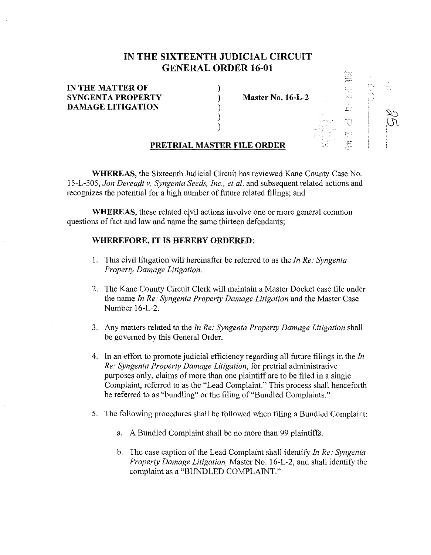## **IN THE SIXTEENTH JUDICIAL CIRCUIT GENERAL ORDER 16-01**

| IN THE MATTER OF           |                   |                                                   | <b>MARCHINE</b><br>میں روا       | $\sim$<br>$- - - -$<br>.<br>$\cdots$    | $\epsilon$ $\sim$<br><b>Same</b> |
|----------------------------|-------------------|---------------------------------------------------|----------------------------------|-----------------------------------------|----------------------------------|
| <b>SYNGENTA PROPERTY</b>   | Master No. 16-L-2 |                                                   | .<br><b>SALA 19</b><br>.<br>Mari | $1 - 2$<br>$1 - 1111$<br>$\sim$ $ \sim$ |                                  |
| <b>DAMAGE LITIGATION</b>   |                   |                                                   | 1.1114<br>$-1$                   |                                         |                                  |
|                            |                   | <b>Charles Avenue</b><br>and a state of the first |                                  |                                         |                                  |
|                            |                   | 44                                                | N                                |                                         |                                  |
| PRETRIAL MASTER FILE ORDER |                   | $\sim$ $\sim$<br>1894<br>DOM 1                    | -55                              |                                         |                                  |

prod.<br>Comp

**WHEREAS,** the Sixteenth Judicial Circuit has reviewed Kane County Case No. 15-L-505, *Jon Dereadt v. Syngenta Seeds, Inc., et al.* and subsequent related actions and recognizes the potential for a high number of future related filings; and

**WHEREAS**, these related civil actions involve one or more general common questions of fact and law and name the same thirteen defendants;

## **WHEREFORE, IT IS HEREBY ORDERED:**

- 1. This civil litigation will hereinafter be referred to as the *In Re: Syngenta Property Damage Litigation.*
- 2. The Kane County Circuit Clerk will maintain a Master Docket case file under the name *In Re: Syngenta Property Damage Litigation* and the Master Case Number 16-L-2.
- 3. Any matters related to the *In Re: Syngenta Property Damage Litigation* shall be governed by this General Order.
- 4. In an effort to promote judicial efficiency regarding all future filings in the *In Re: Syngenta Property Damage Litigation,* for pretrial administrative purposes only, claims of more than one plaintiff are to be filed in a single Complaint, referred to as the "Lead Complaint." This process shall henceforth be referred to as "bundling" or the filing of "Bundled Complaints."
- 5. The following procedures shall be followed when filing a Bundled Complaint:
	- a. A Bundled Complaint shall be no more than 99 plaintiffs.
	- b. The case caption of the Lead Complaint shall identify *In Re: Syngenta Property Damage Litigation,* Master No. 16-L-2, and shall identify the complaint as a "BUNDLED COMPLAINT."